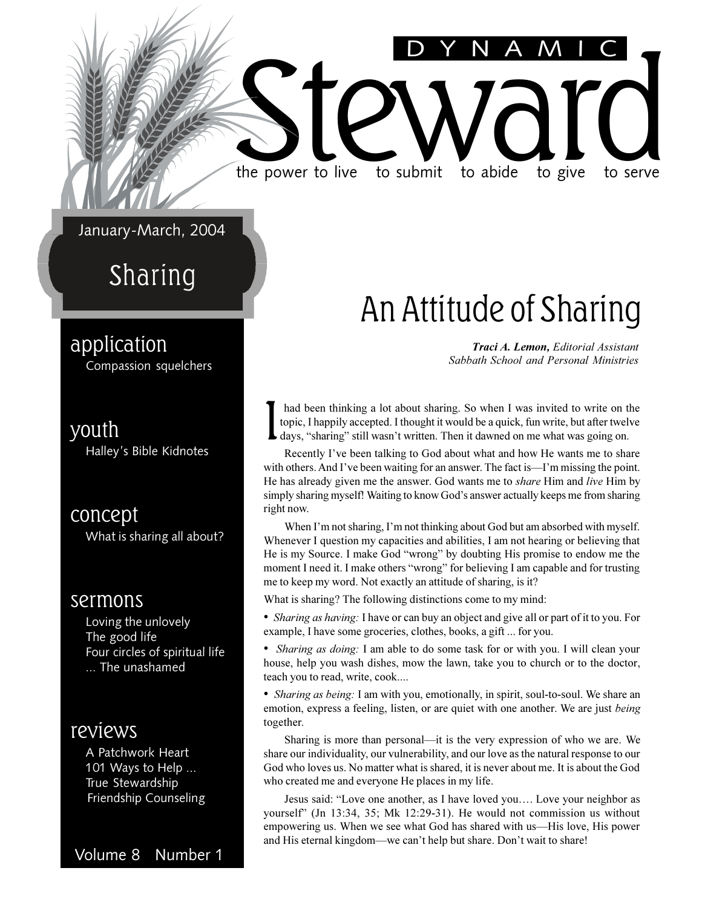#### January-March, 2004

### Sharing

#### application

Compassion squelchers

#### youth

Halley's Bible Kidnotes

#### concept

What is sharing all about?

#### sermons

Loving the unlovely The good life Four circles of spiritual life ... The unashamed

#### reviews

A Patchwork Heart 101 Ways to Help ... True Stewardship Friendship Counseling

Volume 8 Number 1

### An Attitude of Sharing

DYNAMIC

*Traci A. Lemon, Editorial Assistant Sabbath School and Personal Ministries*

I had been thinking a lot about sharing. So when I was invited to write on the topic, I happily accepted. I thought it would be a quick, fun write, but after twelve days, "sharing" still wasn't written. Then it dawned on me what was going on.

the power to live to submit to abide to give to serve

the power to live to submit to abide to give to serve

Recently I've been talking to God about what and how He wants me to share with others. And I've been waiting for an answer. The fact is  $-I$ 'm missing the point. He has already given me the answer. God wants me to *share* Him and *live* Him by simply sharing myself! Waiting to know God's answer actually keeps me from sharing right now.

When I'm not sharing, I'm not thinking about God but am absorbed with myself. Whenever I question my capacities and abilities, I am not hearing or believing that He is my Source. I make God "wrong" by doubting His promise to endow me the moment I need it. I make others "wrong" for believing I am capable and for trusting me to keep my word. Not exactly an attitude of sharing, is it?

What is sharing? The following distinctions come to my mind:

 *Sharing as having:* I have or can buy an object and give all or part of it to you. For example, I have some groceries, clothes, books, a gift ... for you.

 *Sharing as doing:* I am able to do some task for or with you. I will clean your house, help you wash dishes, mow the lawn, take you to church or to the doctor, teach you to read, write, cook....

 *Sharing as being:* I am with you, emotionally, in spirit, soul-to-soul. We share an emotion, express a feeling, listen, or are quiet with one another. We are just *being* together.

Sharing is more than personal—it is the very expression of who we are. We share our individuality, our vulnerability, and our love as the natural response to our God who loves us. No matter what is shared, it is never about me. It is about the God who created me and everyone He places in my life.

Jesus said: "Love one another, as I have loved you.... Love your neighbor as yourself" (Jn 13:34, 35; Mk 12:29-31). He would not commission us without empowering us. When we see what God has shared with us—His love, His power and His eternal kingdom—we can't help but share. Don't wait to share!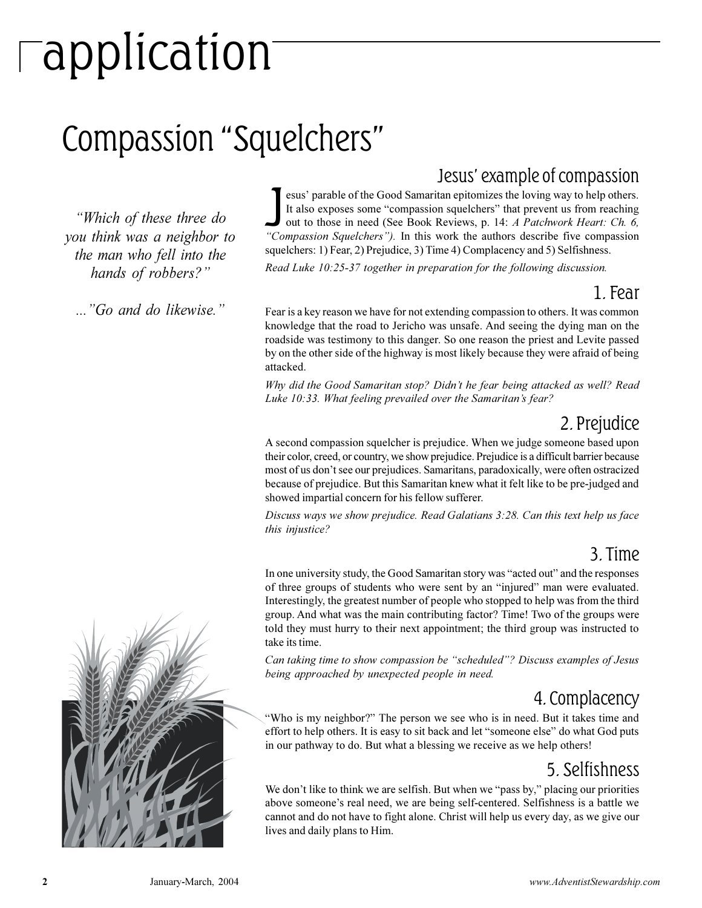# application

## Compassion "Squelchers"

*Which of these three do you think was a neighbor to the man who fell into the hands of robbers?*

*...Go and do likewise.*

#### Jesus' example of compassion

**Compassion Squelchers** is the loving way to help others.<br>It also exposes some "compassion squelchers" that prevent us from reaching<br>out to those in need (See Book Reviews, p. 14: *A Patchwork Heart: Ch. 6,*<br>"Compassion Sq esus' parable of the Good Samaritan epitomizes the loving way to help others. It also exposes some "compassion squelchers" that prevent us from reaching out to those in need (See Book Reviews, p. 14: *A Patchwork Heart: Ch. 6,* squelchers: 1) Fear, 2) Prejudice, 3) Time 4) Complacency and 5) Selfishness.

*Read Luke 10:25-37 together in preparation for the following discussion.*

#### 1. Fear

Fear is a key reason we have for not extending compassion to others. It was common knowledge that the road to Jericho was unsafe. And seeing the dying man on the roadside was testimony to this danger. So one reason the priest and Levite passed by on the other side of the highway is most likely because they were afraid of being attacked.

*Why did the Good Samaritan stop? Didn't he fear being attacked as well? Read Luke 10:33. What feeling prevailed over the Samaritan's fear?* 

#### 2. Prejudice

A second compassion squelcher is prejudice. When we judge someone based upon their color, creed, or country, we show prejudice. Prejudice is a difficult barrier because most of us don't see our prejudices. Samaritans, paradoxically, were often ostracized because of prejudice. But this Samaritan knew what it felt like to be pre-judged and showed impartial concern for his fellow sufferer.

*Discuss ways we show prejudice. Read Galatians 3:28. Can this text help us face this injustice?*

#### 3. Time

In one university study, the Good Samaritan story was "acted out" and the responses of three groups of students who were sent by an "injured" man were evaluated. Interestingly, the greatest number of people who stopped to help was from the third group. And what was the main contributing factor? Time! Two of the groups were told they must hurry to their next appointment; the third group was instructed to take its time.

*Can taking time to show compassion be "scheduled"? Discuss examples of Jesus being approached by unexpected people in need.*

#### 4. Complacency

"Who is my neighbor?" The person we see who is in need. But it takes time and effort to help others. It is easy to sit back and let "someone else" do what God puts in our pathway to do. But what a blessing we receive as we help others!

#### 5. Selfishness

We don't like to think we are selfish. But when we "pass by," placing our priorities above someone's real need, we are being self-centered. Selfishness is a battle we cannot and do not have to fight alone. Christ will help us every day, as we give our lives and daily plans to Him.

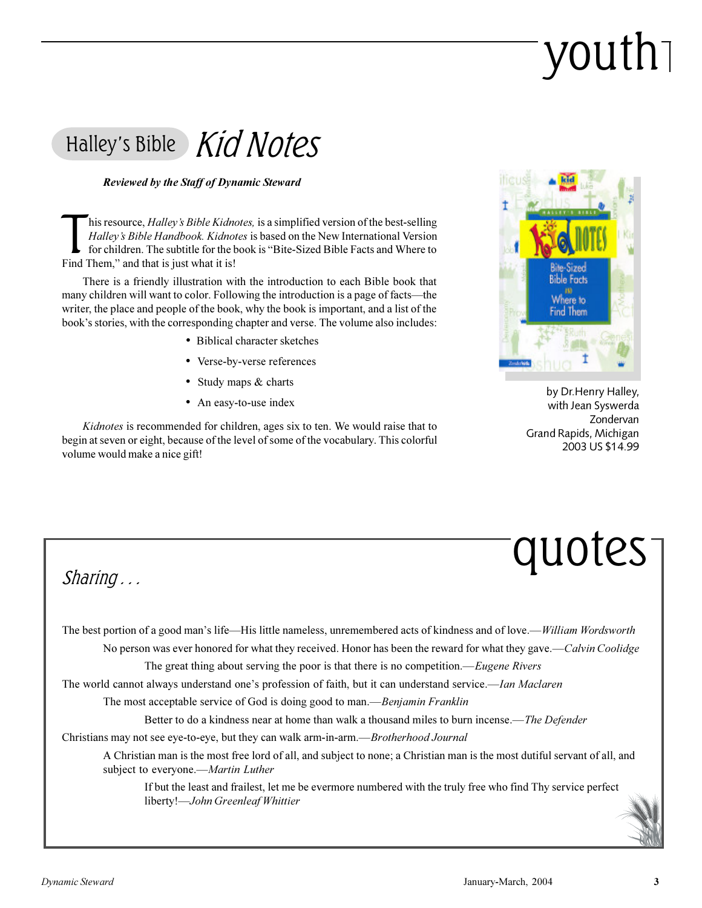# youth

### Halley's Bible Kid Notes

#### *Reviewed by the Staff of Dynamic Steward*

This resource, *Halley's Bible Kidno*<br>*Halley's Bible Handbook. Kidno*<br>for children. The subtitle for the l<br>Find Them," and that is just what it is! his resource, *Halley's Bible Kidnotes*, is a simplified version of the best-selling Halley's Bible Handbook. Kidnotes is based on the New International Version for children. The subtitle for the book is "Bite-Sized Bible Facts and Where to

There is a friendly illustration with the introduction to each Bible book that many children will want to color. Following the introduction is a page of facts—the writer, the place and people of the book, why the book is important, and a list of the book's stories, with the corresponding chapter and verse. The volume also includes:

- Biblical character sketches
- Verse-by-verse references
- Study maps & charts
- An easy-to-use index

*Kidnotes* is recommended for children, ages six to ten. We would raise that to begin at seven or eight, because of the level of some of the vocabulary. This colorful volume would make a nice gift!



 by Dr.Henry Halley, with Jean Syswerda Zondervan Grand Rapids, Michigan 2003 US \$14.99

## quotes

Sharing . . .

The best portion of a good man's life—His little nameless, unremembered acts of kindness and of love.—*William Wordsworth* No person was ever honored for what they received. Honor has been the reward for what they gave.*Calvin Coolidge*

The great thing about serving the poor is that there is no competition.*Eugene Rivers*

The world cannot always understand one's profession of faith, but it can understand service.—*Ian Maclaren* 

The most acceptable service of God is doing good to man.—*Benjamin Franklin* 

Better to do a kindness near at home than walk a thousand miles to burn incense.*The Defender*

Christians may not see eye-to-eye, but they can walk arm-in-arm.*Brotherhood Journal*

A Christian man is the most free lord of all, and subject to none; a Christian man is the most dutiful servant of all, and subject to everyone.*Martin Luther*

If but the least and frailest, let me be evermore numbered with the truly free who find Thy service perfect liberty!*John Greenleaf Whittier*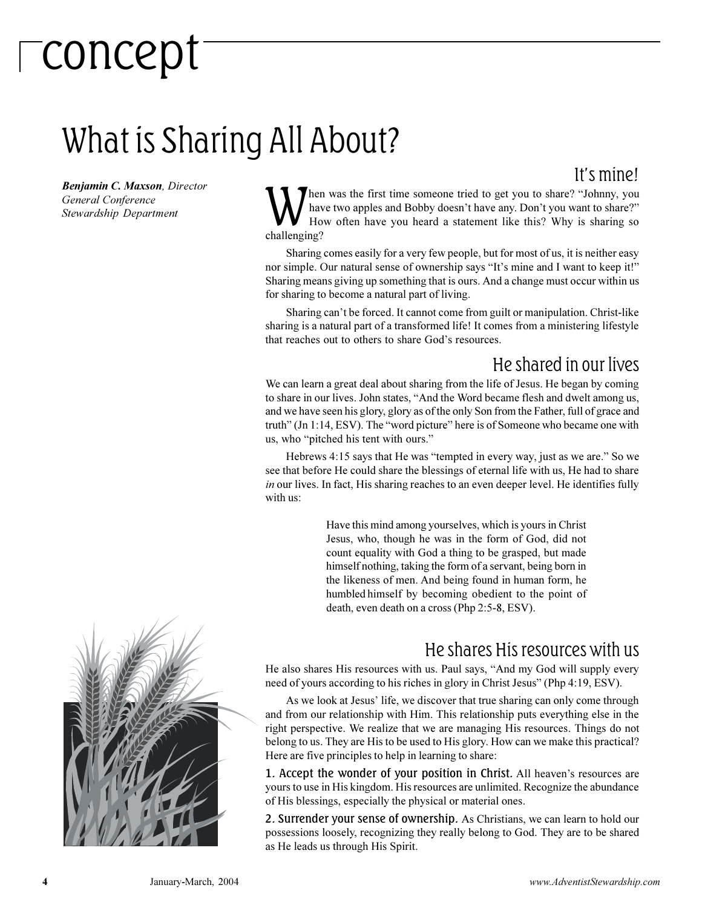# concept

## What is Sharing All About?

#### Its mine!

*Benjamin C. Maxson, Director General Conference Stewardship Department*

W<sup>old</sup> hen was the first time someone tried to get you to share? "Johnny, you have two apples and Bobby doesn't have any. Don't you want to share?" How often have you heard a statement like this? Why is sharing so challenging?

Sharing comes easily for a very few people, but for most of us, it is neither easy nor simple. Our natural sense of ownership says "It's mine and I want to keep it!" Sharing means giving up something that is ours. And a change must occur within us for sharing to become a natural part of living.

Sharing can't be forced. It cannot come from guilt or manipulation. Christ-like sharing is a natural part of a transformed life! It comes from a ministering lifestyle that reaches out to others to share God's resources.

#### He shared in our lives

We can learn a great deal about sharing from the life of Jesus. He began by coming to share in our lives. John states, "And the Word became flesh and dwelt among us, and we have seen his glory, glory as of the only Son from the Father, full of grace and truth" (Jn 1:14, ESV). The "word picture" here is of Someone who became one with us, who "pitched his tent with ours."

Hebrews 4:15 says that He was "tempted in every way, just as we are." So we see that before He could share the blessings of eternal life with us, He had to share *in* our lives. In fact, His sharing reaches to an even deeper level. He identifies fully with us:

> Have this mind among yourselves, which is yours in Christ Jesus, who, though he was in the form of God, did not count equality with God a thing to be grasped, but made himself nothing, taking the form of a servant, being born in the likeness of men. And being found in human form, he humbled himself by becoming obedient to the point of death, even death on a cross (Php 2:5-8, ESV).

#### He shares His resources with us

He also shares His resources with us. Paul says, "And my God will supply every need of yours according to his riches in glory in Christ Jesus" (Php 4:19, ESV).

As we look at Jesus' life, we discover that true sharing can only come through and from our relationship with Him. This relationship puts everything else in the right perspective. We realize that we are managing His resources. Things do not belong to us. They are His to be used to His glory. How can we make this practical? Here are five principles to help in learning to share:

1. Accept the wonder of your position in Christ. All heaven's resources are yours to use in His kingdom. His resources are unlimited. Recognize the abundance of His blessings, especially the physical or material ones.

2. Surrender your sense of ownership. As Christians, we can learn to hold our possessions loosely, recognizing they really belong to God. They are to be shared as He leads us through His Spirit.

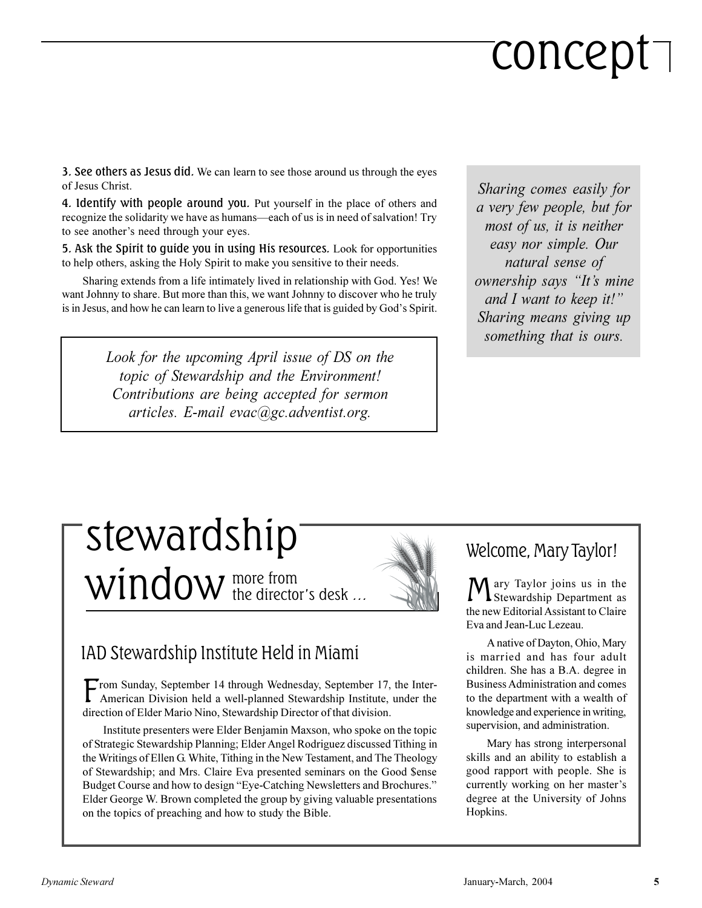# concept

3. See others as Jesus did. We can learn to see those around us through the eyes of Jesus Christ.

4. Identify with people around you. Put yourself in the place of others and recognize the solidarity we have as humans—each of us is in need of salvation! Try to see another's need through your eyes.

5. Ask the Spirit to guide you in using His resources. Look for opportunities to help others, asking the Holy Spirit to make you sensitive to their needs.

Sharing extends from a life intimately lived in relationship with God. Yes! We want Johnny to share. But more than this, we want Johnny to discover who he truly is in Jesus, and how he can learn to live a generous life that is guided by God's Spirit.

> *Look for the upcoming April issue of DS on the topic of Stewardship and the Environment! Contributions are being accepted for sermon articles. E-mail evac@gc.adventist.org.*

*Sharing comes easily for a very few people, but for most of us, it is neither easy nor simple. Our natural sense of ownership says "It's mine and I want to keep it! Sharing means giving up something that is ours.*

### more from  $window$  the director's desk  $...$ stewardship

#### IAD Stewardship Institute Held in Miami

F rom Sunday, September 14 through Wednesday, September 17, the Inter-American Division held a well-planned Stewardship Institute, under the direction of Elder Mario Nino, Stewardship Director of that division.

Institute presenters were Elder Benjamin Maxson, who spoke on the topic of Strategic Stewardship Planning; Elder Angel Rodriguez discussed Tithing in the Writings of Ellen G. White, Tithing in the New Testament, and The Theology of Stewardship; and Mrs. Claire Eva presented seminars on the Good \$ense Budget Course and how to design "Eye-Catching Newsletters and Brochures." Elder George W. Brown completed the group by giving valuable presentations on the topics of preaching and how to study the Bible.

#### Welcome, Mary Taylor!

M ary Taylor joins us in the Stewardship Department as the new Editorial Assistant to Claire Eva and Jean-Luc Lezeau.

A native of Dayton, Ohio, Mary is married and has four adult children. She has a B.A. degree in Business Administration and comes to the department with a wealth of knowledge and experience in writing, supervision, and administration.

Mary has strong interpersonal skills and an ability to establish a good rapport with people. She is currently working on her master's degree at the University of Johns Hopkins.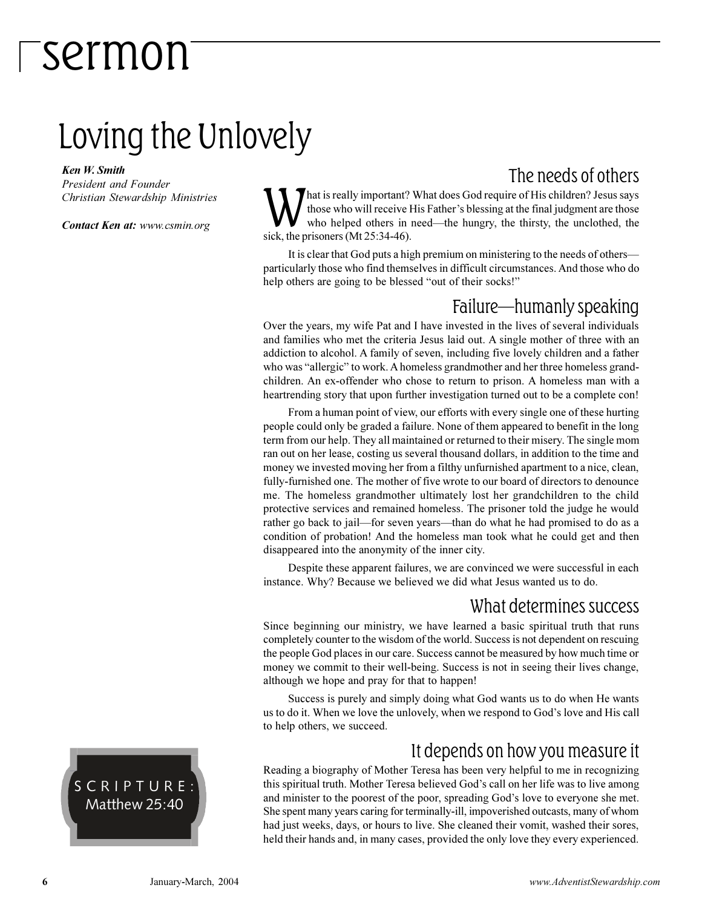### Loving the Unlovely

*Ken W. Smith*

*President and Founder Christian Stewardship Ministries*

*Contact Ken at: www.csmin.org*

The needs of others

M hat is really important?<br>those who will receive I<br>sick, the prisoners (Mt 25:34-46). hat is really important? What does God require of His children? Jesus says those who will receive His Father's blessing at the final judgment are those who helped others in need—the hungry, the thirsty, the unclothed, the

It is clear that God puts a high premium on ministering to the needs of others particularly those who find themselves in difficult circumstances. And those who do help others are going to be blessed "out of their socks!"

#### Failure-humanly speaking

Over the years, my wife Pat and I have invested in the lives of several individuals and families who met the criteria Jesus laid out. A single mother of three with an addiction to alcohol. A family of seven, including five lovely children and a father who was "allergic" to work. A homeless grandmother and her three homeless grandchildren. An ex-offender who chose to return to prison. A homeless man with a heartrending story that upon further investigation turned out to be a complete con!

From a human point of view, our efforts with every single one of these hurting people could only be graded a failure. None of them appeared to benefit in the long term from our help. They all maintained or returned to their misery. The single mom ran out on her lease, costing us several thousand dollars, in addition to the time and money we invested moving her from a filthy unfurnished apartment to a nice, clean, fully-furnished one. The mother of five wrote to our board of directors to denounce me. The homeless grandmother ultimately lost her grandchildren to the child protective services and remained homeless. The prisoner told the judge he would rather go back to jail—for seven years—than do what he had promised to do as a condition of probation! And the homeless man took what he could get and then disappeared into the anonymity of the inner city.

Despite these apparent failures, we are convinced we were successful in each instance. Why? Because we believed we did what Jesus wanted us to do.

#### What determines success

Since beginning our ministry, we have learned a basic spiritual truth that runs completely counter to the wisdom of the world. Success is not dependent on rescuing the people God places in our care. Success cannot be measured by how much time or money we commit to their well-being. Success is not in seeing their lives change, although we hope and pray for that to happen!

Success is purely and simply doing what God wants us to do when He wants us to do it. When we love the unlovely, when we respond to God's love and His call to help others, we succeed.

#### It depends on how you measure it

Reading a biography of Mother Teresa has been very helpful to me in recognizing this spiritual truth. Mother Teresa believed God's call on her life was to live among and minister to the poorest of the poor, spreading God's love to everyone she met. She spent many years caring for terminally-ill, impoverished outcasts, many of whom had just weeks, days, or hours to live. She cleaned their vomit, washed their sores, held their hands and, in many cases, provided the only love they every experienced.

SCRIPTURE: Matthew 25:40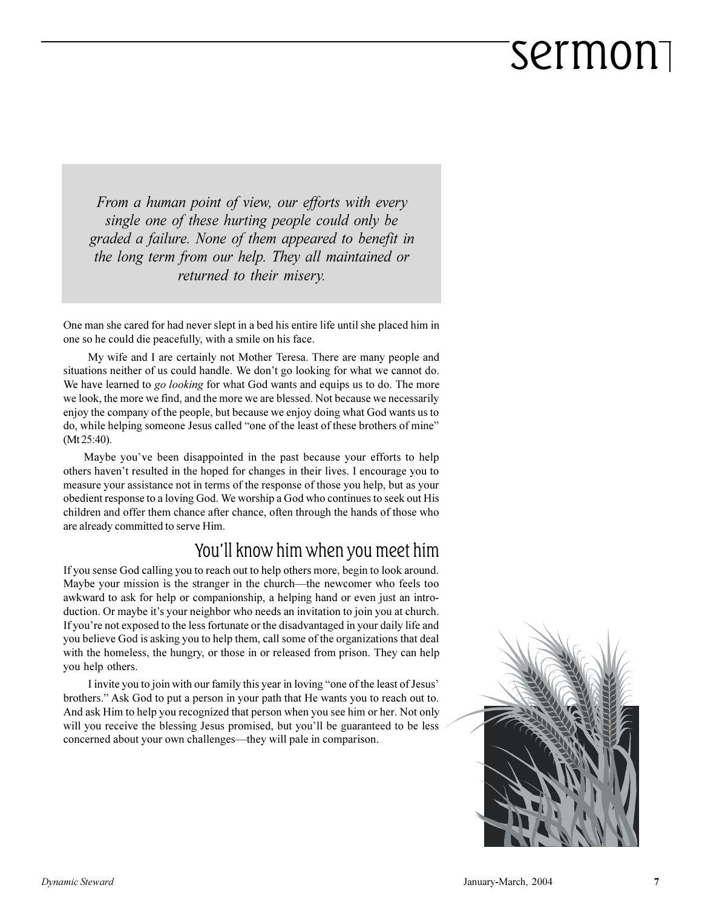*From a human point of view, our efforts with every single one of these hurting people could only be graded a failure. None of them appeared to benefit in the long term from our help. They all maintained or returned to their misery.*

One man she cared for had never slept in a bed his entire life until she placed him in one so he could die peacefully, with a smile on his face.

My wife and I are certainly not Mother Teresa. There are many people and situations neither of us could handle. We don't go looking for what we cannot do. We have learned to *go looking* for what God wants and equips us to do. The more we look, the more we find, and the more we are blessed. Not because we necessarily enjoy the company of the people, but because we enjoy doing what God wants us to do, while helping someone Jesus called "one of the least of these brothers of mine" (Mt 25:40).

Maybe you've been disappointed in the past because your efforts to help others haven't resulted in the hoped for changes in their lives. I encourage you to measure your assistance not in terms of the response of those you help, but as your obedient response to a loving God. We worship a God who continues to seek out His children and offer them chance after chance, often through the hands of those who are already committed to serve Him.

#### You'll know him when you meet him

If you sense God calling you to reach out to help others more, begin to look around. Maybe your mission is the stranger in the church—the newcomer who feels too awkward to ask for help or companionship, a helping hand or even just an introduction. Or maybe it's your neighbor who needs an invitation to join you at church. If you're not exposed to the less fortunate or the disadvantaged in your daily life and you believe God is asking you to help them, call some of the organizations that deal with the homeless, the hungry, or those in or released from prison. They can help you help others.

I invite you to join with our family this year in loving "one of the least of Jesus' brothers." Ask God to put a person in your path that He wants you to reach out to. And ask Him to help you recognized that person when you see him or her. Not only will you receive the blessing Jesus promised, but you'll be guaranteed to be less concerned about your own challenges—they will pale in comparison.

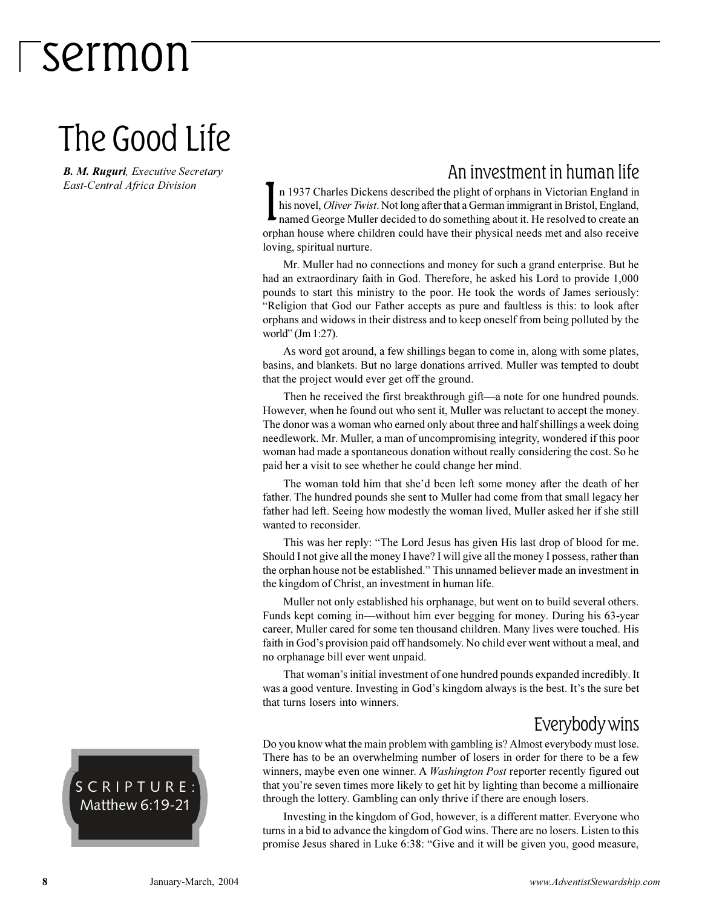### The Good Life

*B. M. Ruguri, Executive Secretary East-Central Africa Division*

#### An investment in human life

I n 1937 Charles Dickens described the plight of orphans in Victorian England in his novel, *Oliver Twist*. Not long after that a German immigrant in Bristol, England, named George Muller decided to do something about it. He resolved to create an orphan house where children could have their physical needs met and also receive loving, spiritual nurture.

Mr. Muller had no connections and money for such a grand enterprise. But he had an extraordinary faith in God. Therefore, he asked his Lord to provide 1,000 pounds to start this ministry to the poor. He took the words of James seriously: Religion that God our Father accepts as pure and faultless is this: to look after orphans and widows in their distress and to keep oneself from being polluted by the world" (Jm 1:27).

As word got around, a few shillings began to come in, along with some plates, basins, and blankets. But no large donations arrived. Muller was tempted to doubt that the project would ever get off the ground.

Then he received the first breakthrough gift—a note for one hundred pounds. However, when he found out who sent it, Muller was reluctant to accept the money. The donor was a woman who earned only about three and half shillings a week doing needlework. Mr. Muller, a man of uncompromising integrity, wondered if this poor woman had made a spontaneous donation without really considering the cost. So he paid her a visit to see whether he could change her mind.

The woman told him that she'd been left some money after the death of her father. The hundred pounds she sent to Muller had come from that small legacy her father had left. Seeing how modestly the woman lived, Muller asked her if she still wanted to reconsider.

This was her reply: "The Lord Jesus has given His last drop of blood for me. Should I not give all the money I have? I will give all the money I possess, rather than the orphan house not be established. This unnamed believer made an investment in the kingdom of Christ, an investment in human life.

Muller not only established his orphanage, but went on to build several others. Funds kept coming in—without him ever begging for money. During his 63-year career, Muller cared for some ten thousand children. Many lives were touched. His faith in God's provision paid off handsomely. No child ever went without a meal, and no orphanage bill ever went unpaid.

That woman's initial investment of one hundred pounds expanded incredibly. It was a good venture. Investing in God's kingdom always is the best. It's the sure bet that turns losers into winners.

#### Everybody wins

Do you know what the main problem with gambling is? Almost everybody must lose. There has to be an overwhelming number of losers in order for there to be a few winners, maybe even one winner. A *Washington Post* reporter recently figured out that you're seven times more likely to get hit by lighting than become a millionaire through the lottery. Gambling can only thrive if there are enough losers.

Investing in the kingdom of God, however, is a different matter. Everyone who turns in a bid to advance the kingdom of God wins. There are no losers. Listen to this promise Jesus shared in Luke 6:38: "Give and it will be given you, good measure,

SCRIPTURE: Matthew 6:19-21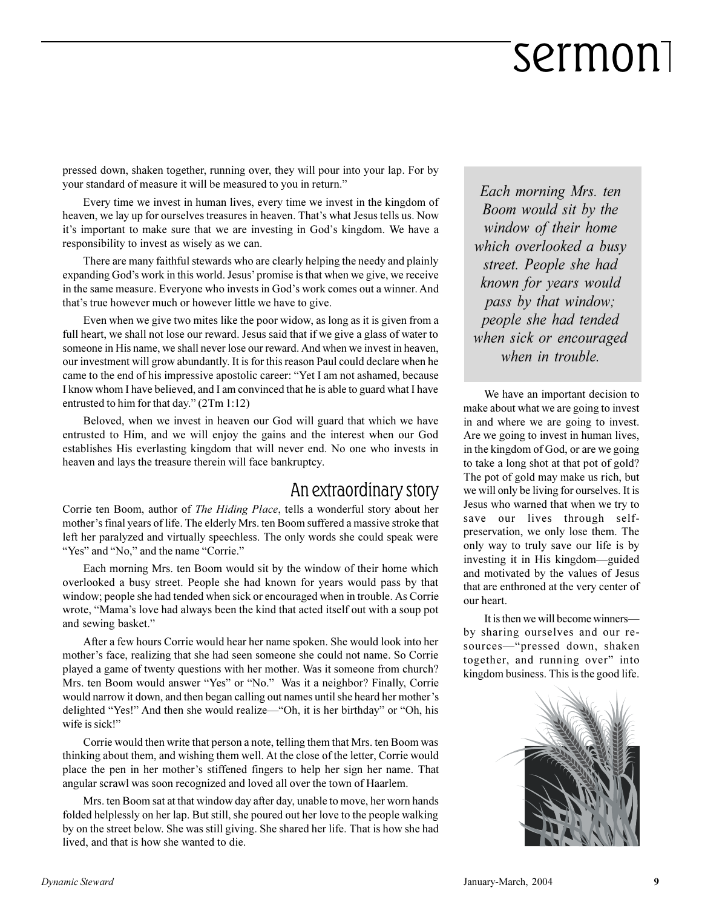pressed down, shaken together, running over, they will pour into your lap. For by your standard of measure it will be measured to you in return.

Every time we invest in human lives, every time we invest in the kingdom of heaven, we lay up for ourselves treasures in heaven. That's what Jesus tells us. Now it's important to make sure that we are investing in God's kingdom. We have a responsibility to invest as wisely as we can.

There are many faithful stewards who are clearly helping the needy and plainly expanding God's work in this world. Jesus' promise is that when we give, we receive in the same measure. Everyone who invests in God's work comes out a winner. And that's true however much or however little we have to give.

Even when we give two mites like the poor widow, as long as it is given from a full heart, we shall not lose our reward. Jesus said that if we give a glass of water to someone in His name, we shall never lose our reward. And when we invest in heaven, our investment will grow abundantly. It is for this reason Paul could declare when he came to the end of his impressive apostolic career: "Yet I am not ashamed, because I know whom I have believed, and I am convinced that he is able to guard what I have entrusted to him for that day."  $(2Tm 1:12)$ 

Beloved, when we invest in heaven our God will guard that which we have entrusted to Him, and we will enjoy the gains and the interest when our God establishes His everlasting kingdom that will never end. No one who invests in heaven and lays the treasure therein will face bankruptcy.

#### An extraordinary story

Corrie ten Boom, author of *The Hiding Place*, tells a wonderful story about her mother's final years of life. The elderly Mrs. ten Boom suffered a massive stroke that left her paralyzed and virtually speechless. The only words she could speak were "Yes" and "No," and the name "Corrie."

Each morning Mrs. ten Boom would sit by the window of their home which overlooked a busy street. People she had known for years would pass by that window; people she had tended when sick or encouraged when in trouble. As Corrie wrote, "Mama's love had always been the kind that acted itself out with a soup pot and sewing basket.

After a few hours Corrie would hear her name spoken. She would look into her mother's face, realizing that she had seen someone she could not name. So Corrie played a game of twenty questions with her mother. Was it someone from church? Mrs. ten Boom would answer "Yes" or "No." Was it a neighbor? Finally, Corrie would narrow it down, and then began calling out names until she heard her mother's delighted "Yes!" And then she would realize—"Oh, it is her birthday" or "Oh, his wife is sick!"

Corrie would then write that person a note, telling them that Mrs. ten Boom was thinking about them, and wishing them well. At the close of the letter, Corrie would place the pen in her mother's stiffened fingers to help her sign her name. That angular scrawl was soon recognized and loved all over the town of Haarlem.

Mrs. ten Boom sat at that window day after day, unable to move, her worn hands folded helplessly on her lap. But still, she poured out her love to the people walking by on the street below. She was still giving. She shared her life. That is how she had lived, and that is how she wanted to die.

*Each morning Mrs. ten Boom would sit by the window of their home which overlooked a busy street. People she had known for years would pass by that window; people she had tended when sick or encouraged when in trouble.*

We have an important decision to make about what we are going to invest in and where we are going to invest. Are we going to invest in human lives, in the kingdom of God, or are we going to take a long shot at that pot of gold? The pot of gold may make us rich, but we will only be living for ourselves. It is Jesus who warned that when we try to save our lives through selfpreservation, we only lose them. The only way to truly save our life is by investing it in His kingdom—guided and motivated by the values of Jesus that are enthroned at the very center of our heart.

It is then we will become winners by sharing ourselves and our resources-"pressed down, shaken together, and running over" into kingdom business. This is the good life.

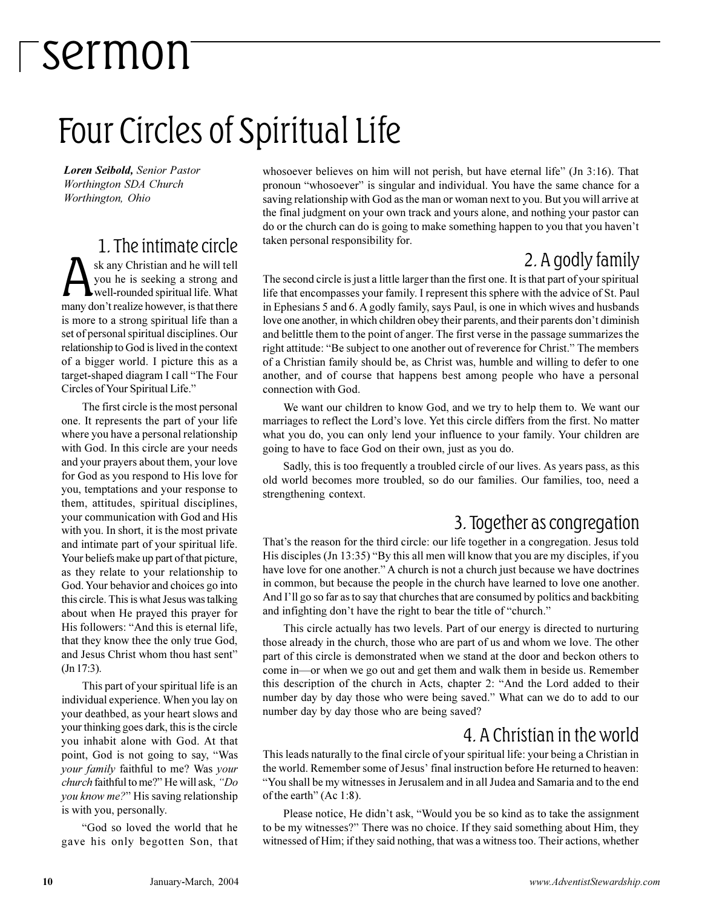## Four Circles of Spiritual Life

*Loren Seibold, Senior Pastor Worthington SDA Church Worthington, Ohio*

#### 1. The intimate circle A sk any Christian and he will tell<br>you he is seeking a strong and<br>well-rounded spiritual life. What<br>many don't realize however, is that there sk any Christian and he will tell you he is seeking a strong and well-rounded spiritual life. What is more to a strong spiritual life than a set of personal spiritual disciplines. Our relationship to God is lived in the context of a bigger world. I picture this as a target-shaped diagram I call "The Four Circles of Your Spiritual Life.

The first circle is the most personal one. It represents the part of your life where you have a personal relationship with God. In this circle are your needs and your prayers about them, your love for God as you respond to His love for you, temptations and your response to them, attitudes, spiritual disciplines, your communication with God and His with you. In short, it is the most private and intimate part of your spiritual life. Your beliefs make up part of that picture, as they relate to your relationship to God. Your behavior and choices go into this circle. This is what Jesus was talking about when He prayed this prayer for His followers: "And this is eternal life, that they know thee the only true God, and Jesus Christ whom thou hast sent (Jn 17:3).

This part of your spiritual life is an individual experience. When you lay on your deathbed, as your heart slows and your thinking goes dark, this is the circle you inhabit alone with God. At that point, God is not going to say, Was *your family* faithful to me? Was *your church* faithful to me?" He will ask, "Do *you know me?*" His saving relationship is with you, personally.

God so loved the world that he gave his only begotten Son, that whosoever believes on him will not perish, but have eternal life"  $($  Jn 3:16 $)$ . That pronoun "whosoever" is singular and individual. You have the same chance for a saving relationship with God as the man or woman next to you. But you will arrive at the final judgment on your own track and yours alone, and nothing your pastor can do or the church can do is going to make something happen to you that you haven't taken personal responsibility for.

#### 2. A godly family

The second circle is just a little larger than the first one. It is that part of your spiritual life that encompasses your family. I represent this sphere with the advice of St. Paul in Ephesians 5 and 6. A godly family, says Paul, is one in which wives and husbands love one another, in which children obey their parents, and their parents don't diminish and belittle them to the point of anger. The first verse in the passage summarizes the right attitude: "Be subject to one another out of reverence for Christ." The members of a Christian family should be, as Christ was, humble and willing to defer to one another, and of course that happens best among people who have a personal connection with God.

We want our children to know God, and we try to help them to. We want our marriages to reflect the Lord's love. Yet this circle differs from the first. No matter what you do, you can only lend your influence to your family. Your children are going to have to face God on their own, just as you do.

Sadly, this is too frequently a troubled circle of our lives. As years pass, as this old world becomes more troubled, so do our families. Our families, too, need a strengthening context.

#### 3. Together as congregation

That's the reason for the third circle: our life together in a congregation. Jesus told His disciples (Jn 13:35) "By this all men will know that you are my disciples, if you have love for one another." A church is not a church just because we have doctrines in common, but because the people in the church have learned to love one another. And I'll go so far as to say that churches that are consumed by politics and backbiting and infighting don't have the right to bear the title of "church."

This circle actually has two levels. Part of our energy is directed to nurturing those already in the church, those who are part of us and whom we love. The other part of this circle is demonstrated when we stand at the door and beckon others to come in—or when we go out and get them and walk them in beside us. Remember this description of the church in Acts, chapter 2: "And the Lord added to their number day by day those who were being saved." What can we do to add to our number day by day those who are being saved?

#### 4. A Christian in the world

This leads naturally to the final circle of your spiritual life: your being a Christian in the world. Remember some of Jesus final instruction before He returned to heaven: You shall be my witnesses in Jerusalem and in all Judea and Samaria and to the end of the earth" (Ac  $1:8$ ).

Please notice, He didn't ask, "Would you be so kind as to take the assignment to be my witnesses?" There was no choice. If they said something about Him, they witnessed of Him; if they said nothing, that was a witness too. Their actions, whether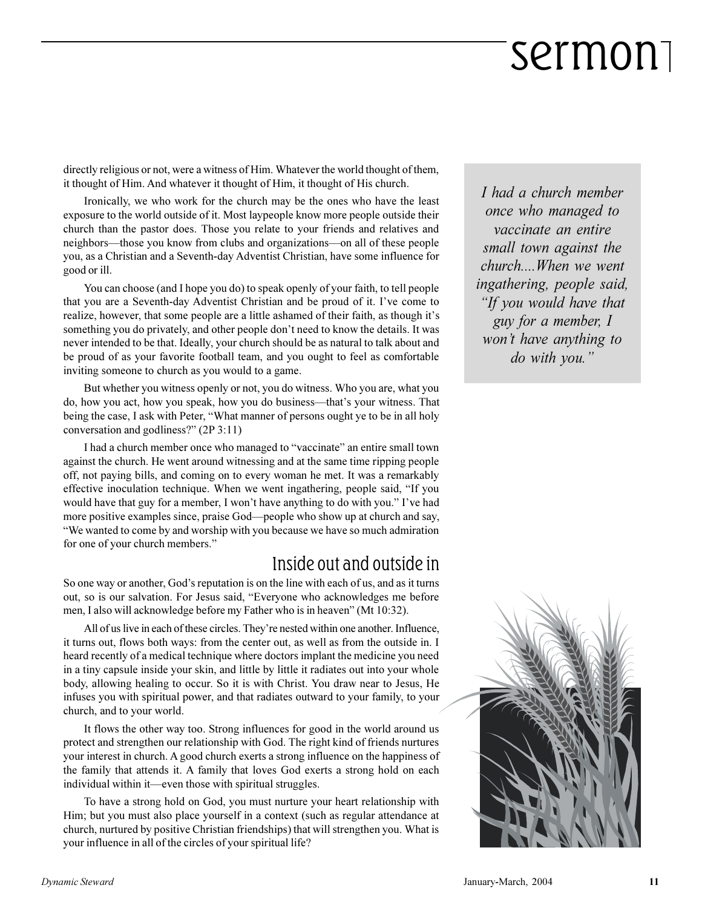directly religious or not, were a witness of Him. Whatever the world thought of them, it thought of Him. And whatever it thought of Him, it thought of His church.

Ironically, we who work for the church may be the ones who have the least exposure to the world outside of it. Most laypeople know more people outside their church than the pastor does. Those you relate to your friends and relatives and neighbors—those you know from clubs and organizations—on all of these people you, as a Christian and a Seventh-day Adventist Christian, have some influence for good or ill.

You can choose (and I hope you do) to speak openly of your faith, to tell people that you are a Seventh-day Adventist Christian and be proud of it. I've come to realize, however, that some people are a little ashamed of their faith, as though it's something you do privately, and other people don't need to know the details. It was never intended to be that. Ideally, your church should be as natural to talk about and be proud of as your favorite football team, and you ought to feel as comfortable inviting someone to church as you would to a game.

But whether you witness openly or not, you do witness. Who you are, what you do, how you act, how you speak, how you do business—that's your witness. That being the case, I ask with Peter, What manner of persons ought ye to be in all holy conversation and godliness?" (2P 3:11)

I had a church member once who managed to "vaccinate" an entire small town against the church. He went around witnessing and at the same time ripping people off, not paying bills, and coming on to every woman he met. It was a remarkably effective inoculation technique. When we went ingathering, people said, "If you would have that guy for a member, I won't have anything to do with you." I've had more positive examples since, praise God—people who show up at church and say, We wanted to come by and worship with you because we have so much admiration for one of your church members.

#### Inside out and outside in

So one way or another, God's reputation is on the line with each of us, and as it turns out, so is our salvation. For Jesus said, Everyone who acknowledges me before men, I also will acknowledge before my Father who is in heaven" (Mt 10:32).

All of us live in each of these circles. They're nested within one another. Influence, it turns out, flows both ways: from the center out, as well as from the outside in. I heard recently of a medical technique where doctors implant the medicine you need in a tiny capsule inside your skin, and little by little it radiates out into your whole body, allowing healing to occur. So it is with Christ. You draw near to Jesus, He infuses you with spiritual power, and that radiates outward to your family, to your church, and to your world.

It flows the other way too. Strong influences for good in the world around us protect and strengthen our relationship with God. The right kind of friends nurtures your interest in church. A good church exerts a strong influence on the happiness of the family that attends it. A family that loves God exerts a strong hold on each individual within it—even those with spiritual struggles.

To have a strong hold on God, you must nurture your heart relationship with Him; but you must also place yourself in a context (such as regular attendance at church, nurtured by positive Christian friendships) that will strengthen you. What is your influence in all of the circles of your spiritual life?

*I had a church member once who managed to vaccinate an entire small town against the church....When we went ingathering, people said, If you would have that guy for a member, I wont have anything to do with you.*

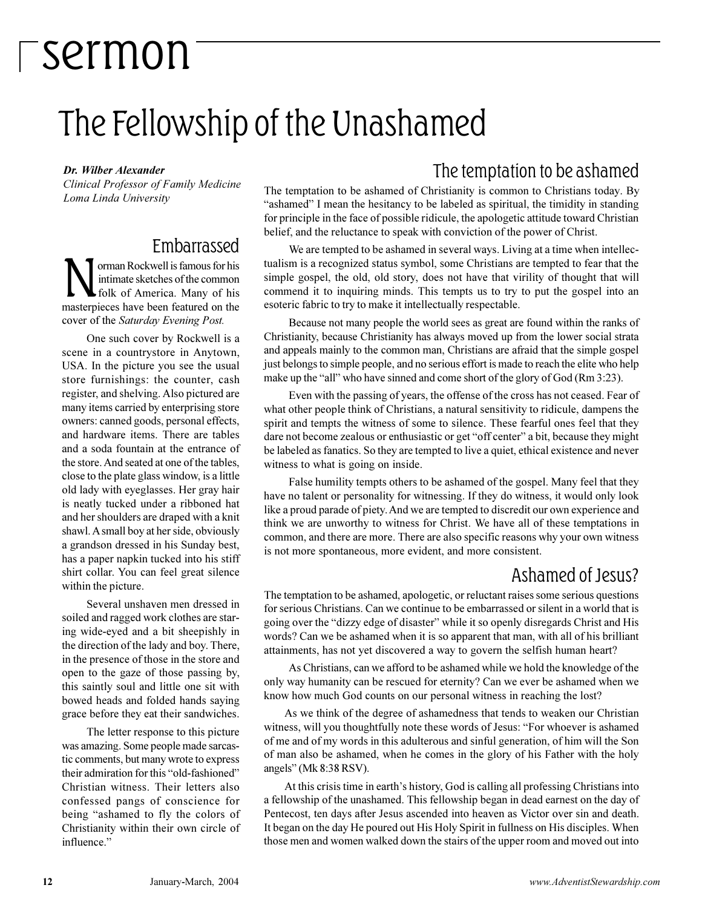## The Fellowship of the Unashamed

*Dr. Wilber Alexander*

*Clinical Professor of Family Medicine Loma Linda University*

#### Embarrassed

Morman Rockwell is famous for his<br>intimate sketches of the common<br>masterpieces have been featured on the orman Rockwell is famous for his intimate sketches of the common folk of America. Many of his cover of the *Saturday Evening Post.*

One such cover by Rockwell is a scene in a countrystore in Anytown, USA. In the picture you see the usual store furnishings: the counter, cash register, and shelving. Also pictured are many items carried by enterprising store owners: canned goods, personal effects, and hardware items. There are tables and a soda fountain at the entrance of the store. And seated at one of the tables, close to the plate glass window, is a little old lady with eyeglasses. Her gray hair is neatly tucked under a ribboned hat and her shoulders are draped with a knit shawl. A small boy at her side, obviously a grandson dressed in his Sunday best, has a paper napkin tucked into his stiff shirt collar. You can feel great silence within the picture.

Several unshaven men dressed in soiled and ragged work clothes are staring wide-eyed and a bit sheepishly in the direction of the lady and boy. There, in the presence of those in the store and open to the gaze of those passing by, this saintly soul and little one sit with bowed heads and folded hands saying grace before they eat their sandwiches.

The letter response to this picture was amazing. Some people made sarcastic comments, but many wrote to express their admiration for this "old-fashioned" Christian witness. Their letters also confessed pangs of conscience for being "ashamed to fly the colors of Christianity within their own circle of influence."

#### The temptation to be ashamed

The temptation to be ashamed of Christianity is common to Christians today. By "ashamed" I mean the hesitancy to be labeled as spiritual, the timidity in standing for principle in the face of possible ridicule, the apologetic attitude toward Christian belief, and the reluctance to speak with conviction of the power of Christ.

We are tempted to be ashamed in several ways. Living at a time when intellectualism is a recognized status symbol, some Christians are tempted to fear that the simple gospel, the old, old story, does not have that virility of thought that will commend it to inquiring minds. This tempts us to try to put the gospel into an esoteric fabric to try to make it intellectually respectable.

Because not many people the world sees as great are found within the ranks of Christianity, because Christianity has always moved up from the lower social strata and appeals mainly to the common man, Christians are afraid that the simple gospel just belongs to simple people, and no serious effort is made to reach the elite who help make up the "all" who have sinned and come short of the glory of God (Rm 3:23).

Even with the passing of years, the offense of the cross has not ceased. Fear of what other people think of Christians, a natural sensitivity to ridicule, dampens the spirit and tempts the witness of some to silence. These fearful ones feel that they dare not become zealous or enthusiastic or get "off center" a bit, because they might be labeled as fanatics. So they are tempted to live a quiet, ethical existence and never witness to what is going on inside.

False humility tempts others to be ashamed of the gospel. Many feel that they have no talent or personality for witnessing. If they do witness, it would only look like a proud parade of piety. And we are tempted to discredit our own experience and think we are unworthy to witness for Christ. We have all of these temptations in common, and there are more. There are also specific reasons why your own witness is not more spontaneous, more evident, and more consistent.

#### Ashamed of Jesus?

The temptation to be ashamed, apologetic, or reluctant raises some serious questions for serious Christians. Can we continue to be embarrassed or silent in a world that is going over the "dizzy edge of disaster" while it so openly disregards Christ and His words? Can we be ashamed when it is so apparent that man, with all of his brilliant attainments, has not yet discovered a way to govern the selfish human heart?

As Christians, can we afford to be ashamed while we hold the knowledge of the only way humanity can be rescued for eternity? Can we ever be ashamed when we know how much God counts on our personal witness in reaching the lost?

As we think of the degree of ashamedness that tends to weaken our Christian witness, will you thoughtfully note these words of Jesus: "For whoever is ashamed of me and of my words in this adulterous and sinful generation, of him will the Son of man also be ashamed, when he comes in the glory of his Father with the holy angels" (Mk 8:38 RSV).

At this crisis time in earth's history, God is calling all professing Christians into a fellowship of the unashamed. This fellowship began in dead earnest on the day of Pentecost, ten days after Jesus ascended into heaven as Victor over sin and death. It began on the day He poured out His Holy Spirit in fullness on His disciples. When those men and women walked down the stairs of the upper room and moved out into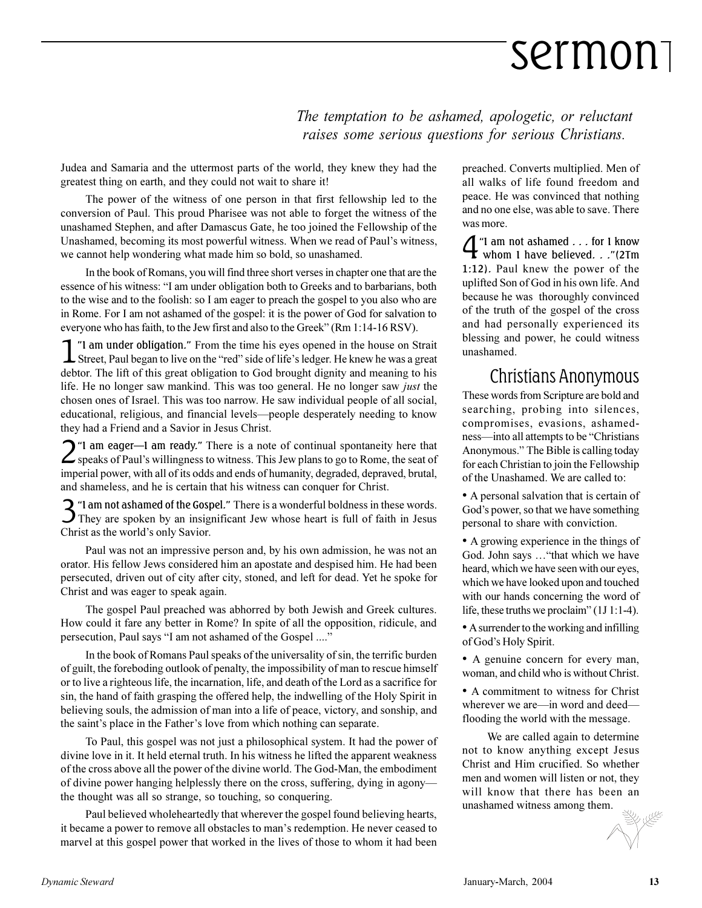*The temptation to be ashamed, apologetic, or reluctant raises some serious questions for serious Christians.*

Judea and Samaria and the uttermost parts of the world, they knew they had the greatest thing on earth, and they could not wait to share it!

The power of the witness of one person in that first fellowship led to the conversion of Paul. This proud Pharisee was not able to forget the witness of the unashamed Stephen, and after Damascus Gate, he too joined the Fellowship of the Unashamed, becoming its most powerful witness. When we read of Paul's witness, we cannot help wondering what made him so bold, so unashamed.

In the book of Romans, you will find three short verses in chapter one that are the essence of his witness: "I am under obligation both to Greeks and to barbarians, both to the wise and to the foolish: so I am eager to preach the gospel to you also who are in Rome. For I am not ashamed of the gospel: it is the power of God for salvation to everyone who has faith, to the Jew first and also to the Greek" (Rm  $1:14-16$  RSV).

1 T am under obligation." From the time his eyes opened in the house on Strait Street, Paul began to live on the "red" side of life's ledger. He knew he was a great "I am under obligation." From the time his eyes opened in the house on Strait debtor. The lift of this great obligation to God brought dignity and meaning to his life. He no longer saw mankind. This was too general. He no longer saw *just* the chosen ones of Israel. This was too narrow. He saw individual people of all social, educational, religious, and financial levels—people desperately needing to know they had a Friend and a Savior in Jesus Christ.

 $2$  "I am eager—I am ready." There is a note of continual spontaneity here that speaks of Paul's willingness to witness. This Jew plans to go to Rome, the seat of speaks of Paul's willingness to witness. This Jew plans to go to Rome, the seat of imperial power, with all of its odds and ends of humanity, degraded, depraved, brutal, and shameless, and he is certain that his witness can conquer for Christ.

3<sup>"</sup> I am not ashamed of the Gospel." There is a wonderful boldness in these words.<br>They are spoken by an insignificant Jew whose heart is full of faith in Jesus **2** "I am not ashamed of the Gospel." There is a wonderful boldness in these words. Christ as the world's only Savior.

Paul was not an impressive person and, by his own admission, he was not an orator. His fellow Jews considered him an apostate and despised him. He had been persecuted, driven out of city after city, stoned, and left for dead. Yet he spoke for Christ and was eager to speak again.

The gospel Paul preached was abhorred by both Jewish and Greek cultures. How could it fare any better in Rome? In spite of all the opposition, ridicule, and persecution, Paul says "I am not ashamed of the Gospel ...."

In the book of Romans Paul speaks of the universality of sin, the terrific burden of guilt, the foreboding outlook of penalty, the impossibility of man to rescue himself or to live a righteous life, the incarnation, life, and death of the Lord as a sacrifice for sin, the hand of faith grasping the offered help, the indwelling of the Holy Spirit in believing souls, the admission of man into a life of peace, victory, and sonship, and the saint's place in the Father's love from which nothing can separate.

To Paul, this gospel was not just a philosophical system. It had the power of divine love in it. It held eternal truth. In his witness he lifted the apparent weakness of the cross above all the power of the divine world. The God-Man, the embodiment of divine power hanging helplessly there on the cross, suffering, dying in agony the thought was all so strange, so touching, so conquering.

Paul believed wholeheartedly that wherever the gospel found believing hearts, it became a power to remove all obstacles to man's redemption. He never ceased to marvel at this gospel power that worked in the lives of those to whom it had been preached. Converts multiplied. Men of all walks of life found freedom and peace. He was convinced that nothing and no one else, was able to save. There was more.

4 "I am not ashamed . . . for I know<br>whom I have believed. . ."(2Tm whom 1 have believed. . ."(2Tm 1:12). Paul knew the power of the uplifted Son of God in his own life. And because he was thoroughly convinced of the truth of the gospel of the cross and had personally experienced its blessing and power, he could witness unashamed.

#### Christians Anonymous

These words from Scripture are bold and searching, probing into silences, compromises, evasions, ashamedness—into all attempts to be "Christians" Anonymous. The Bible is calling today for each Christian to join the Fellowship of the Unashamed. We are called to:

 A personal salvation that is certain of God's power, so that we have something personal to share with conviction.

 A growing experience in the things of God. John says ... "that which we have heard, which we have seen with our eyes, which we have looked upon and touched with our hands concerning the word of life, these truths we proclaim"  $(1J 1:1-4)$ .

 A surrender to the working and infilling of God's Holy Spirit.

• A genuine concern for every man, woman, and child who is without Christ.

• A commitment to witness for Christ wherever we are—in word and deedflooding the world with the message.

We are called again to determine not to know anything except Jesus Christ and Him crucified. So whether men and women will listen or not, they will know that there has been an unashamed witness among them.

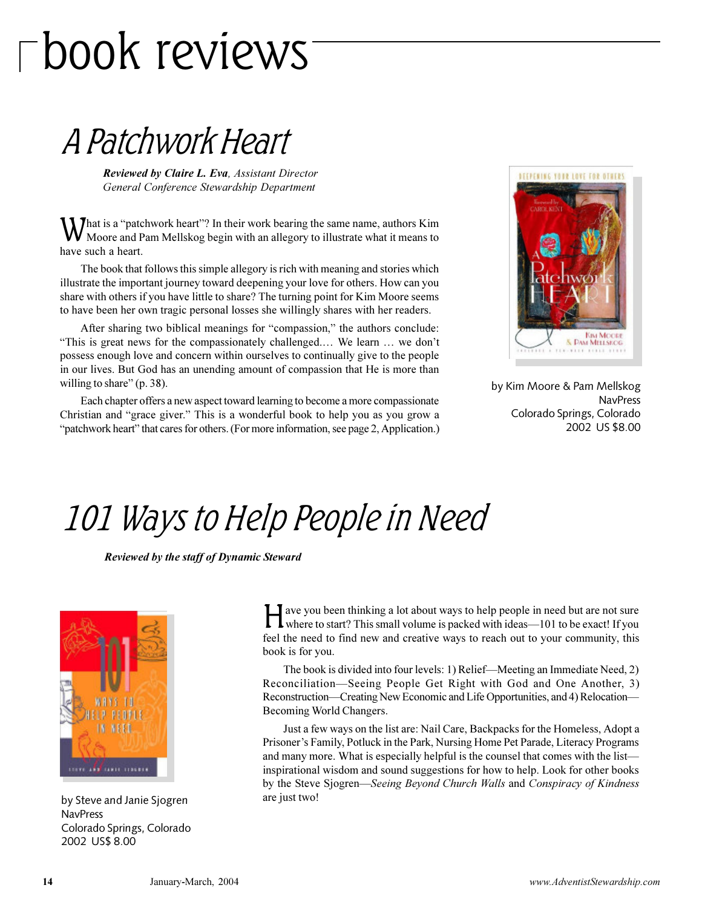# book reviews

### A Patchwork Heart

*Reviewed by Claire L. Eva, Assistant Director General Conference Stewardship Department*

What is a "patchwork heart"? In their work bearing the same name, authors Kim<br>Moore and Pam Mellskog begin with an allegory to illustrate what it means to Moore and Pam Mellskog begin with an allegory to illustrate what it means to have such a heart.

The book that follows this simple allegory is rich with meaning and stories which illustrate the important journey toward deepening your love for others. How can you share with others if you have little to share? The turning point for Kim Moore seems to have been her own tragic personal losses she willingly shares with her readers.

After sharing two biblical meanings for "compassion," the authors conclude: "This is great news for the compassionately challenged.... We learn  $\dots$  we don't possess enough love and concern within ourselves to continually give to the people in our lives. But God has an unending amount of compassion that He is more than willing to share"  $(p. 38)$ .

Each chapter offers a new aspect toward learning to become a more compassionate Christian and "grace giver." This is a wonderful book to help you as you grow a "patchwork heart" that cares for others. (For more information, see page 2, Application.)



by Kim Moore & Pam Mellskog NavPress Colorado Springs, Colorado 2002 US \$8.00

### 101 Ways to Help People in Need

*Reviewed by the staff of Dynamic Steward*



by Steve and Janie Sjogren **NavPress** Colorado Springs, Colorado 2002 US\$ 8.00

H ave you been thinking a lot about ways to help people in need but are not sure<br>where to start? This small volume is packed with ideas—101 to be exact! If you ave you been thinking a lot about ways to help people in need but are not sure feel the need to find new and creative ways to reach out to your community, this book is for you.

The book is divided into four levels: 1) Relief—Meeting an Immediate Need, 2) Reconciliation—Seeing People Get Right with God and One Another, 3) Reconstruction—Creating New Economic and Life Opportunities, and 4) Relocation— Becoming World Changers.

Just a few ways on the list are: Nail Care, Backpacks for the Homeless, Adopt a Prisoner's Family, Potluck in the Park, Nursing Home Pet Parade, Literacy Programs and many more. What is especially helpful is the counsel that comes with the list inspirational wisdom and sound suggestions for how to help. Look for other books by the Steve Sjogren*Seeing Beyond Church Walls* and *Conspiracy of Kindness* are just two!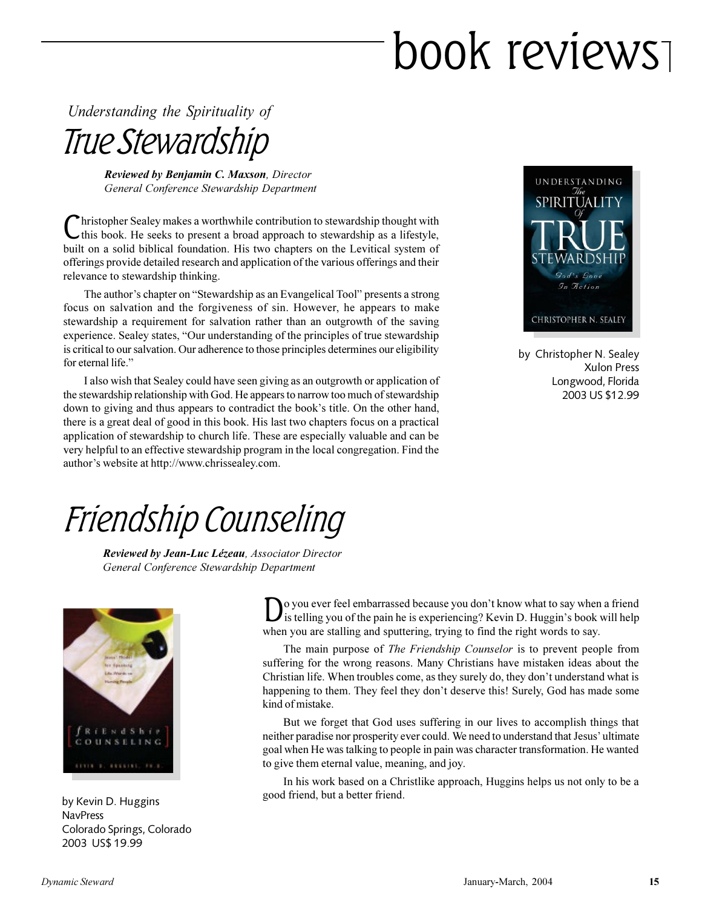# book reviews

*Understanding the Spirituality of*

True Stewardship

*Reviewed by Benjamin C. Maxson, Director General Conference Stewardship Department*

Christopher Sealey makes a worthwhile contribution to stewardship thought with this book. He seeks to present a broad approach to stewardship as a lifestyle, hristopher Sealey makes a worthwhile contribution to stewardship thought with built on a solid biblical foundation. His two chapters on the Levitical system of offerings provide detailed research and application of the various offerings and their relevance to stewardship thinking.

The author's chapter on "Stewardship as an Evangelical Tool" presents a strong focus on salvation and the forgiveness of sin. However, he appears to make stewardship a requirement for salvation rather than an outgrowth of the saving experience. Sealey states, "Our understanding of the principles of true stewardship is critical to our salvation. Our adherence to those principles determines our eligibility for eternal life."

I also wish that Sealey could have seen giving as an outgrowth or application of the stewardship relationship with God. He appears to narrow too much of stewardship down to giving and thus appears to contradict the book's title. On the other hand, there is a great deal of good in this book. His last two chapters focus on a practical application of stewardship to church life. These are especially valuable and can be very helpful to an effective stewardship program in the local congregation. Find the author's website at http://www.chrissealey.com.



by Christopher N. Sealey Xulon Press Longwood, Florida 2003 US \$12.99

### Friendship Counseling

*Reviewed by Jean-Luc Lézeau, Associator Director General Conference Stewardship Department*



**NavPress** Colorado Springs, Colorado 2003 US\$ 19.99

D o you ever feel embarrassed because you don't know what to say when a friend is telling you of the pain he is experiencing? Kevin D. Huggin's book will help when you are stalling and sputtering, trying to find the right words to say.

The main purpose of *The Friendship Counselor* is to prevent people from suffering for the wrong reasons. Many Christians have mistaken ideas about the Christian life. When troubles come, as they surely do, they don't understand what is happening to them. They feel they don't deserve this! Surely, God has made some kind of mistake.

But we forget that God uses suffering in our lives to accomplish things that neither paradise nor prosperity ever could. We need to understand that Jesus' ultimate goal when He was talking to people in pain was character transformation. He wanted to give them eternal value, meaning, and joy.

In his work based on a Christlike approach, Huggins helps us not only to be a good friend, but a better friend. by Kevin D. Huggins